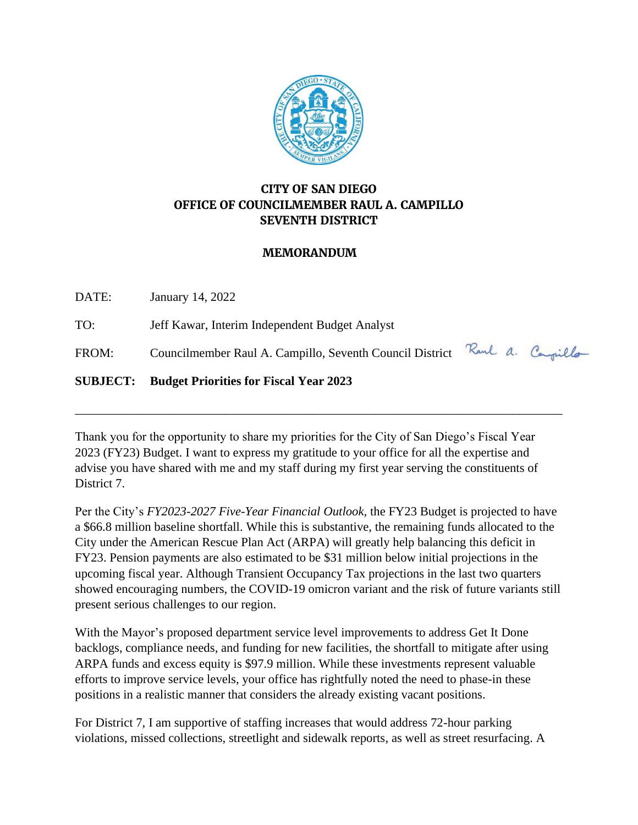

# **CITY OF SAN DIEGO OFFICE OF COUNCILMEMBER RAUL A. CAMPILLO SEVENTH DISTRICT**

#### **MEMORANDUM**

DATE: January 14, 2022 TO: Jeff Kawar, Interim Independent Budget Analyst FROM: Councilmember Raul A. Campillo, Seventh Council District Raul a. Campillo **SUBJECT: Budget Priorities for Fiscal Year 2023**

Thank you for the opportunity to share my priorities for the City of San Diego's Fiscal Year 2023 (FY23) Budget. I want to express my gratitude to your office for all the expertise and advise you have shared with me and my staff during my first year serving the constituents of District 7.

\_\_\_\_\_\_\_\_\_\_\_\_\_\_\_\_\_\_\_\_\_\_\_\_\_\_\_\_\_\_\_\_\_\_\_\_\_\_\_\_\_\_\_\_\_\_\_\_\_\_\_\_\_\_\_\_\_\_\_\_\_\_\_\_\_\_\_\_\_\_\_\_\_\_\_\_\_\_

Per the City's *FY2023-2027 Five-Year Financial Outlook,* the FY23 Budget is projected to have a \$66.8 million baseline shortfall. While this is substantive, the remaining funds allocated to the City under the American Rescue Plan Act (ARPA) will greatly help balancing this deficit in FY23. Pension payments are also estimated to be \$31 million below initial projections in the upcoming fiscal year. Although Transient Occupancy Tax projections in the last two quarters showed encouraging numbers, the COVID-19 omicron variant and the risk of future variants still present serious challenges to our region.

With the Mayor's proposed department service level improvements to address Get It Done backlogs, compliance needs, and funding for new facilities, the shortfall to mitigate after using ARPA funds and excess equity is \$97.9 million. While these investments represent valuable efforts to improve service levels, your office has rightfully noted the need to phase-in these positions in a realistic manner that considers the already existing vacant positions.

For District 7, I am supportive of staffing increases that would address 72-hour parking violations, missed collections, streetlight and sidewalk reports, as well as street resurfacing. A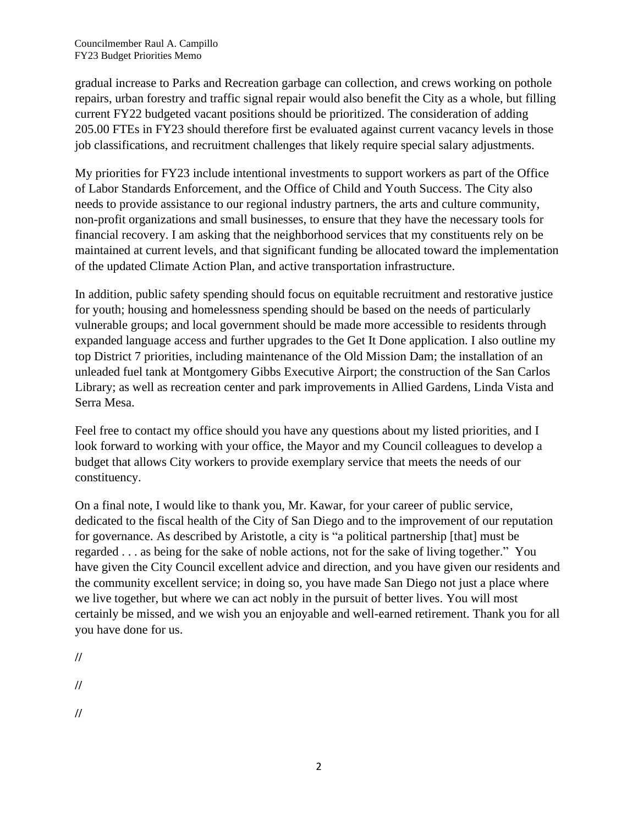gradual increase to Parks and Recreation garbage can collection, and crews working on pothole repairs, urban forestry and traffic signal repair would also benefit the City as a whole, but filling current FY22 budgeted vacant positions should be prioritized. The consideration of adding 205.00 FTEs in FY23 should therefore first be evaluated against current vacancy levels in those job classifications, and recruitment challenges that likely require special salary adjustments.

My priorities for FY23 include intentional investments to support workers as part of the Office of Labor Standards Enforcement, and the Office of Child and Youth Success. The City also needs to provide assistance to our regional industry partners, the arts and culture community, non-profit organizations and small businesses, to ensure that they have the necessary tools for financial recovery. I am asking that the neighborhood services that my constituents rely on be maintained at current levels, and that significant funding be allocated toward the implementation of the updated Climate Action Plan, and active transportation infrastructure.

In addition, public safety spending should focus on equitable recruitment and restorative justice for youth; housing and homelessness spending should be based on the needs of particularly vulnerable groups; and local government should be made more accessible to residents through expanded language access and further upgrades to the Get It Done application. I also outline my top District 7 priorities, including maintenance of the Old Mission Dam; the installation of an unleaded fuel tank at Montgomery Gibbs Executive Airport; the construction of the San Carlos Library; as well as recreation center and park improvements in Allied Gardens, Linda Vista and Serra Mesa.

Feel free to contact my office should you have any questions about my listed priorities, and I look forward to working with your office, the Mayor and my Council colleagues to develop a budget that allows City workers to provide exemplary service that meets the needs of our constituency.

On a final note, I would like to thank you, Mr. Kawar, for your career of public service, dedicated to the fiscal health of the City of San Diego and to the improvement of our reputation for governance. As described by Aristotle, a city is "a political partnership [that] must be regarded . . . as being for the sake of noble actions, not for the sake of living together." You have given the City Council excellent advice and direction, and you have given our residents and the community excellent service; in doing so, you have made San Diego not just a place where we live together, but where we can act nobly in the pursuit of better lives. You will most certainly be missed, and we wish you an enjoyable and well-earned retirement. Thank you for all you have done for us.

**//**

**//**

**//**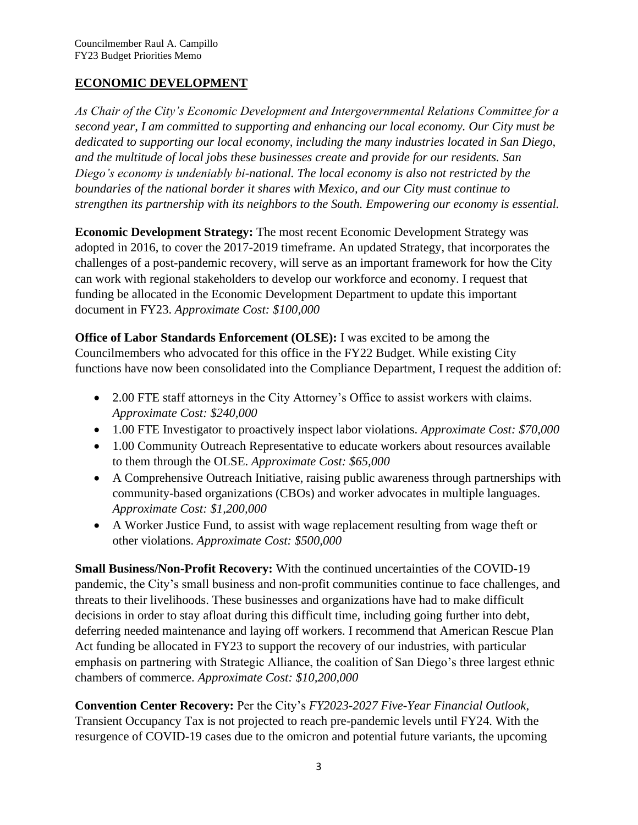## **ECONOMIC DEVELOPMENT**

*As Chair of the City's Economic Development and Intergovernmental Relations Committee for a second year, I am committed to supporting and enhancing our local economy. Our City must be dedicated to supporting our local economy, including the many industries located in San Diego, and the multitude of local jobs these businesses create and provide for our residents. San Diego's economy is undeniably bi-national. The local economy is also not restricted by the boundaries of the national border it shares with Mexico, and our City must continue to strengthen its partnership with its neighbors to the South. Empowering our economy is essential.* 

**Economic Development Strategy:** The most recent Economic Development Strategy was adopted in 2016, to cover the 2017-2019 timeframe. An updated Strategy, that incorporates the challenges of a post-pandemic recovery, will serve as an important framework for how the City can work with regional stakeholders to develop our workforce and economy. I request that funding be allocated in the Economic Development Department to update this important document in FY23. *Approximate Cost: \$100,000* 

**Office of Labor Standards Enforcement (OLSE):** I was excited to be among the Councilmembers who advocated for this office in the FY22 Budget. While existing City functions have now been consolidated into the Compliance Department, I request the addition of:

- 2.00 FTE staff attorneys in the City Attorney's Office to assist workers with claims. *Approximate Cost: \$240,000*
- 1.00 FTE Investigator to proactively inspect labor violations. *Approximate Cost: \$70,000*
- 1.00 Community Outreach Representative to educate workers about resources available to them through the OLSE. *Approximate Cost: \$65,000*
- A Comprehensive Outreach Initiative, raising public awareness through partnerships with community-based organizations (CBOs) and worker advocates in multiple languages. *Approximate Cost: \$1,200,000*
- A Worker Justice Fund, to assist with wage replacement resulting from wage theft or other violations. *Approximate Cost: \$500,000*

**Small Business/Non-Profit Recovery:** With the continued uncertainties of the COVID-19 pandemic, the City's small business and non-profit communities continue to face challenges, and threats to their livelihoods. These businesses and organizations have had to make difficult decisions in order to stay afloat during this difficult time, including going further into debt, deferring needed maintenance and laying off workers. I recommend that American Rescue Plan Act funding be allocated in FY23 to support the recovery of our industries, with particular emphasis on partnering with Strategic Alliance, the coalition of San Diego's three largest ethnic chambers of commerce. *Approximate Cost: \$10,200,000*

**Convention Center Recovery:** Per the City's *FY2023-2027 Five-Year Financial Outlook*, Transient Occupancy Tax is not projected to reach pre-pandemic levels until FY24. With the resurgence of COVID-19 cases due to the omicron and potential future variants, the upcoming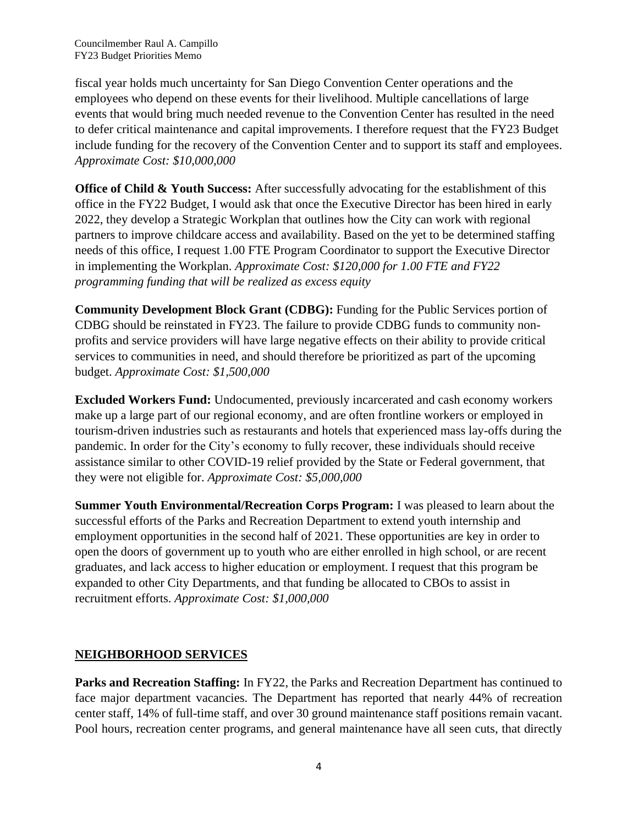fiscal year holds much uncertainty for San Diego Convention Center operations and the employees who depend on these events for their livelihood. Multiple cancellations of large events that would bring much needed revenue to the Convention Center has resulted in the need to defer critical maintenance and capital improvements. I therefore request that the FY23 Budget include funding for the recovery of the Convention Center and to support its staff and employees. *Approximate Cost: \$10,000,000*

**Office of Child & Youth Success:** After successfully advocating for the establishment of this office in the FY22 Budget, I would ask that once the Executive Director has been hired in early 2022, they develop a Strategic Workplan that outlines how the City can work with regional partners to improve childcare access and availability. Based on the yet to be determined staffing needs of this office, I request 1.00 FTE Program Coordinator to support the Executive Director in implementing the Workplan. *Approximate Cost: \$120,000 for 1.00 FTE and FY22 programming funding that will be realized as excess equity*

**Community Development Block Grant (CDBG):** Funding for the Public Services portion of CDBG should be reinstated in FY23. The failure to provide CDBG funds to community nonprofits and service providers will have large negative effects on their ability to provide critical services to communities in need, and should therefore be prioritized as part of the upcoming budget. *Approximate Cost: \$1,500,000*

**Excluded Workers Fund:** Undocumented, previously incarcerated and cash economy workers make up a large part of our regional economy, and are often frontline workers or employed in tourism-driven industries such as restaurants and hotels that experienced mass lay-offs during the pandemic. In order for the City's economy to fully recover, these individuals should receive assistance similar to other COVID-19 relief provided by the State or Federal government, that they were not eligible for. *Approximate Cost: \$5,000,000*

**Summer Youth Environmental/Recreation Corps Program:** I was pleased to learn about the successful efforts of the Parks and Recreation Department to extend youth internship and employment opportunities in the second half of 2021. These opportunities are key in order to open the doors of government up to youth who are either enrolled in high school, or are recent graduates, and lack access to higher education or employment. I request that this program be expanded to other City Departments, and that funding be allocated to CBOs to assist in recruitment efforts. *Approximate Cost: \$1,000,000*

#### **NEIGHBORHOOD SERVICES**

**Parks and Recreation Staffing:** In FY22, the Parks and Recreation Department has continued to face major department vacancies. The Department has reported that nearly 44% of recreation center staff, 14% of full-time staff, and over 30 ground maintenance staff positions remain vacant. Pool hours, recreation center programs, and general maintenance have all seen cuts, that directly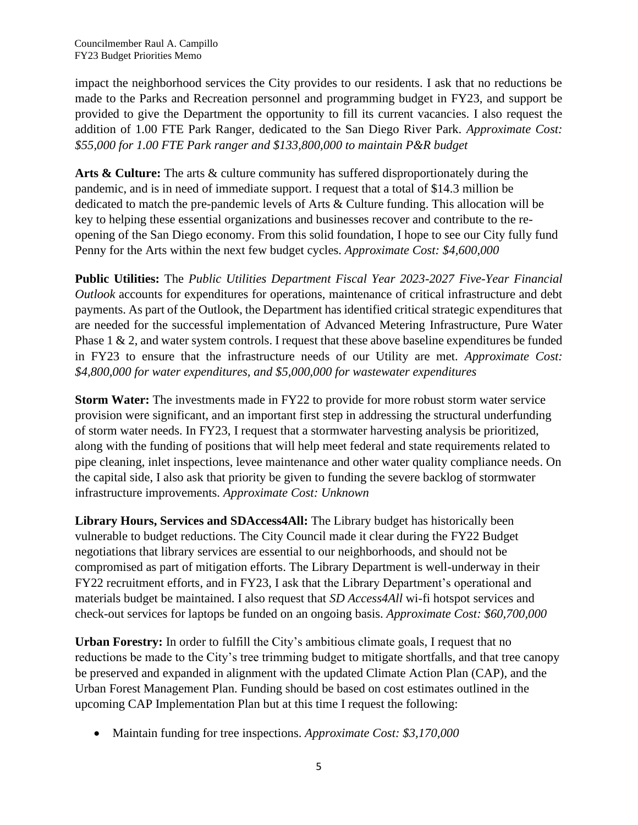impact the neighborhood services the City provides to our residents. I ask that no reductions be made to the Parks and Recreation personnel and programming budget in FY23, and support be provided to give the Department the opportunity to fill its current vacancies. I also request the addition of 1.00 FTE Park Ranger, dedicated to the San Diego River Park. *Approximate Cost: \$55,000 for 1.00 FTE Park ranger and \$133,800,000 to maintain P&R budget*

**Arts & Culture:** The arts & culture community has suffered disproportionately during the pandemic, and is in need of immediate support. I request that a total of \$14.3 million be dedicated to match the pre-pandemic levels of Arts & Culture funding. This allocation will be key to helping these essential organizations and businesses recover and contribute to the reopening of the San Diego economy. From this solid foundation, I hope to see our City fully fund Penny for the Arts within the next few budget cycles. *Approximate Cost: \$4,600,000*

**Public Utilities:** The *Public Utilities Department Fiscal Year 2023-2027 Five-Year Financial Outlook* accounts for expenditures for operations, maintenance of critical infrastructure and debt payments. As part of the Outlook, the Department has identified critical strategic expenditures that are needed for the successful implementation of Advanced Metering Infrastructure, Pure Water Phase 1 & 2, and water system controls. I request that these above baseline expenditures be funded in FY23 to ensure that the infrastructure needs of our Utility are met. *Approximate Cost: \$4,800,000 for water expenditures, and \$5,000,000 for wastewater expenditures*

**Storm Water:** The investments made in FY22 to provide for more robust storm water service provision were significant, and an important first step in addressing the structural underfunding of storm water needs. In FY23, I request that a stormwater harvesting analysis be prioritized, along with the funding of positions that will help meet federal and state requirements related to pipe cleaning, inlet inspections, levee maintenance and other water quality compliance needs. On the capital side, I also ask that priority be given to funding the severe backlog of stormwater infrastructure improvements. *Approximate Cost: Unknown*

**Library Hours, Services and SDAccess4All:** The Library budget has historically been vulnerable to budget reductions. The City Council made it clear during the FY22 Budget negotiations that library services are essential to our neighborhoods, and should not be compromised as part of mitigation efforts. The Library Department is well-underway in their FY22 recruitment efforts, and in FY23, I ask that the Library Department's operational and materials budget be maintained. I also request that *SD Access4All* wi-fi hotspot services and check-out services for laptops be funded on an ongoing basis. *Approximate Cost: \$60,700,000*

**Urban Forestry:** In order to fulfill the City's ambitious climate goals, I request that no reductions be made to the City's tree trimming budget to mitigate shortfalls, and that tree canopy be preserved and expanded in alignment with the updated Climate Action Plan (CAP), and the Urban Forest Management Plan. Funding should be based on cost estimates outlined in the upcoming CAP Implementation Plan but at this time I request the following:

• Maintain funding for tree inspections. *Approximate Cost: \$3,170,000*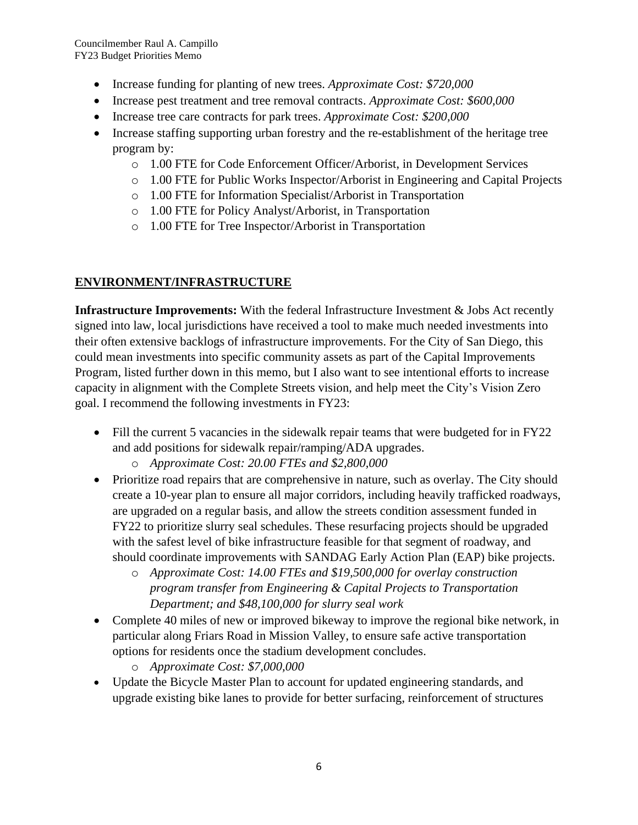- Increase funding for planting of new trees. *Approximate Cost: \$720,000*
- Increase pest treatment and tree removal contracts. *Approximate Cost: \$600,000*
- Increase tree care contracts for park trees. *Approximate Cost: \$200,000*
- Increase staffing supporting urban forestry and the re-establishment of the heritage tree program by:
	- o 1.00 FTE for Code Enforcement Officer/Arborist, in Development Services
	- o 1.00 FTE for Public Works Inspector/Arborist in Engineering and Capital Projects
	- o 1.00 FTE for Information Specialist/Arborist in Transportation
	- o 1.00 FTE for Policy Analyst/Arborist, in Transportation
	- o 1.00 FTE for Tree Inspector/Arborist in Transportation

## **ENVIRONMENT/INFRASTRUCTURE**

**Infrastructure Improvements:** With the federal Infrastructure Investment & Jobs Act recently signed into law, local jurisdictions have received a tool to make much needed investments into their often extensive backlogs of infrastructure improvements. For the City of San Diego, this could mean investments into specific community assets as part of the Capital Improvements Program, listed further down in this memo, but I also want to see intentional efforts to increase capacity in alignment with the Complete Streets vision, and help meet the City's Vision Zero goal. I recommend the following investments in FY23:

- Fill the current 5 vacancies in the sidewalk repair teams that were budgeted for in FY22 and add positions for sidewalk repair/ramping/ADA upgrades.
	- o *Approximate Cost: 20.00 FTEs and \$2,800,000*
- Prioritize road repairs that are comprehensive in nature, such as overlay. The City should create a 10-year plan to ensure all major corridors, including heavily trafficked roadways, are upgraded on a regular basis, and allow the streets condition assessment funded in FY22 to prioritize slurry seal schedules. These resurfacing projects should be upgraded with the safest level of bike infrastructure feasible for that segment of roadway, and should coordinate improvements with SANDAG Early Action Plan (EAP) bike projects.
	- o *Approximate Cost: 14.00 FTEs and \$19,500,000 for overlay construction program transfer from Engineering & Capital Projects to Transportation Department; and \$48,100,000 for slurry seal work*
- Complete 40 miles of new or improved bikeway to improve the regional bike network, in particular along Friars Road in Mission Valley, to ensure safe active transportation options for residents once the stadium development concludes.
	- o *Approximate Cost: \$7,000,000*
- Update the Bicycle Master Plan to account for updated engineering standards, and upgrade existing bike lanes to provide for better surfacing, reinforcement of structures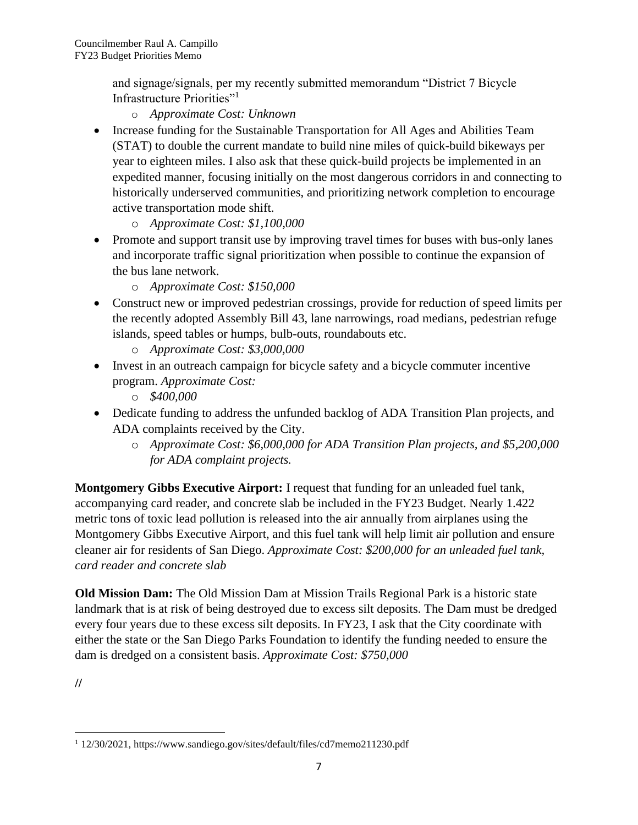and signage/signals, per my recently submitted memorandum "District 7 Bicycle Infrastructure Priorities"<sup>1</sup>

- o *Approximate Cost: Unknown*
- Increase funding for the Sustainable Transportation for All Ages and Abilities Team (STAT) to double the current mandate to build nine miles of quick-build bikeways per year to eighteen miles. I also ask that these quick-build projects be implemented in an expedited manner, focusing initially on the most dangerous corridors in and connecting to historically underserved communities, and prioritizing network completion to encourage active transportation mode shift.
	- o *Approximate Cost: \$1,100,000*
- Promote and support transit use by improving travel times for buses with bus-only lanes and incorporate traffic signal prioritization when possible to continue the expansion of the bus lane network.
	- o *Approximate Cost: \$150,000*
- Construct new or improved pedestrian crossings, provide for reduction of speed limits per the recently adopted Assembly Bill 43, lane narrowings, road medians, pedestrian refuge islands, speed tables or humps, bulb-outs, roundabouts etc.
	- o *Approximate Cost: \$3,000,000*
- Invest in an outreach campaign for bicycle safety and a bicycle commuter incentive program. *Approximate Cost:* 
	- o *\$400,000*
- Dedicate funding to address the unfunded backlog of ADA Transition Plan projects, and ADA complaints received by the City.
	- o *Approximate Cost: \$6,000,000 for ADA Transition Plan projects, and \$5,200,000 for ADA complaint projects.*

**Montgomery Gibbs Executive Airport:** I request that funding for an unleaded fuel tank, accompanying card reader, and concrete slab be included in the FY23 Budget. Nearly 1.422 metric tons of toxic lead pollution is released into the air annually from airplanes using the Montgomery Gibbs Executive Airport, and this fuel tank will help limit air pollution and ensure cleaner air for residents of San Diego. *Approximate Cost: \$200,000 for an unleaded fuel tank, card reader and concrete slab* 

**Old Mission Dam:** The Old Mission Dam at Mission Trails Regional Park is a historic state landmark that is at risk of being destroyed due to excess silt deposits. The Dam must be dredged every four years due to these excess silt deposits. In FY23, I ask that the City coordinate with either the state or the San Diego Parks Foundation to identify the funding needed to ensure the dam is dredged on a consistent basis. *Approximate Cost: \$750,000*

**//**

<sup>1</sup> 12/30/2021, https://www.sandiego.gov/sites/default/files/cd7memo211230.pdf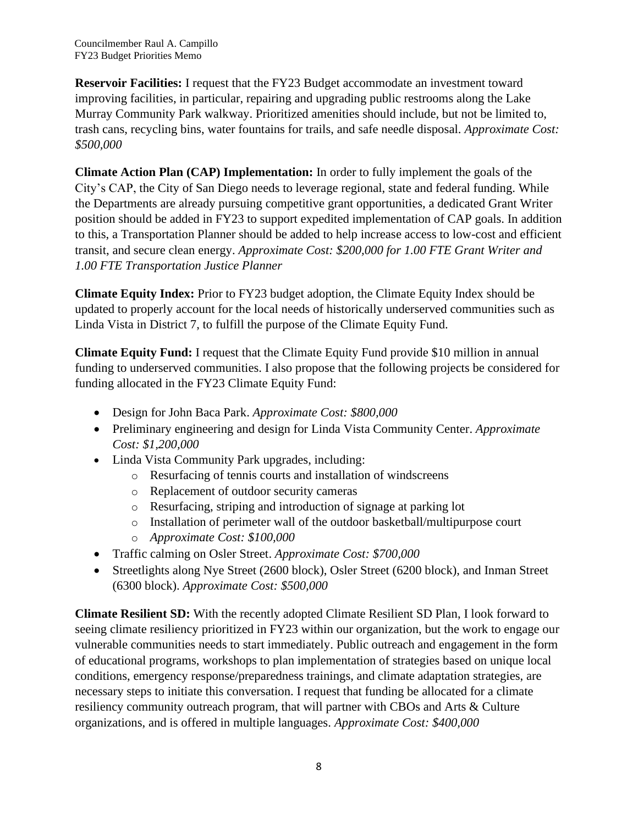**Reservoir Facilities:** I request that the FY23 Budget accommodate an investment toward improving facilities, in particular, repairing and upgrading public restrooms along the Lake Murray Community Park walkway. Prioritized amenities should include, but not be limited to, trash cans, recycling bins, water fountains for trails, and safe needle disposal. *Approximate Cost: \$500,000*

**Climate Action Plan (CAP) Implementation:** In order to fully implement the goals of the City's CAP, the City of San Diego needs to leverage regional, state and federal funding. While the Departments are already pursuing competitive grant opportunities, a dedicated Grant Writer position should be added in FY23 to support expedited implementation of CAP goals. In addition to this, a Transportation Planner should be added to help increase access to low-cost and efficient transit, and secure clean energy. *Approximate Cost: \$200,000 for 1.00 FTE Grant Writer and 1.00 FTE Transportation Justice Planner*

**Climate Equity Index:** Prior to FY23 budget adoption, the Climate Equity Index should be updated to properly account for the local needs of historically underserved communities such as Linda Vista in District 7, to fulfill the purpose of the Climate Equity Fund.

**Climate Equity Fund:** I request that the Climate Equity Fund provide \$10 million in annual funding to underserved communities. I also propose that the following projects be considered for funding allocated in the FY23 Climate Equity Fund:

- Design for John Baca Park. *Approximate Cost: \$800,000*
- Preliminary engineering and design for Linda Vista Community Center. *Approximate Cost: \$1,200,000*
- Linda Vista Community Park upgrades, including:
	- o Resurfacing of tennis courts and installation of windscreens
	- o Replacement of outdoor security cameras
	- o Resurfacing, striping and introduction of signage at parking lot
	- o Installation of perimeter wall of the outdoor basketball/multipurpose court
	- o *Approximate Cost: \$100,000*
- Traffic calming on Osler Street. *Approximate Cost: \$700,000*
- Streetlights along Nye Street (2600 block), Osler Street (6200 block), and Inman Street (6300 block). *Approximate Cost: \$500,000*

**Climate Resilient SD:** With the recently adopted Climate Resilient SD Plan, I look forward to seeing climate resiliency prioritized in FY23 within our organization, but the work to engage our vulnerable communities needs to start immediately. Public outreach and engagement in the form of educational programs, workshops to plan implementation of strategies based on unique local conditions, emergency response/preparedness trainings, and climate adaptation strategies, are necessary steps to initiate this conversation. I request that funding be allocated for a climate resiliency community outreach program, that will partner with CBOs and Arts & Culture organizations, and is offered in multiple languages. *Approximate Cost: \$400,000*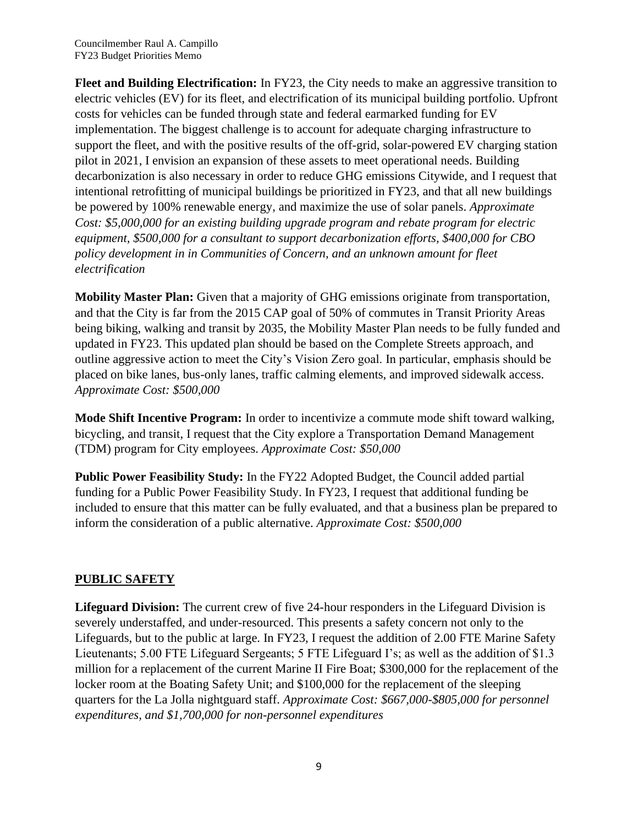**Fleet and Building Electrification:** In FY23, the City needs to make an aggressive transition to electric vehicles (EV) for its fleet, and electrification of its municipal building portfolio. Upfront costs for vehicles can be funded through state and federal earmarked funding for EV implementation. The biggest challenge is to account for adequate charging infrastructure to support the fleet, and with the positive results of the off-grid, solar-powered EV charging station pilot in 2021, I envision an expansion of these assets to meet operational needs. Building decarbonization is also necessary in order to reduce GHG emissions Citywide, and I request that intentional retrofitting of municipal buildings be prioritized in FY23, and that all new buildings be powered by 100% renewable energy, and maximize the use of solar panels. *Approximate Cost: \$5,000,000 for an existing building upgrade program and rebate program for electric equipment, \$500,000 for a consultant to support decarbonization efforts, \$400,000 for CBO policy development in in Communities of Concern, and an unknown amount for fleet electrification*

**Mobility Master Plan:** Given that a majority of GHG emissions originate from transportation, and that the City is far from the 2015 CAP goal of 50% of commutes in Transit Priority Areas being biking, walking and transit by 2035, the Mobility Master Plan needs to be fully funded and updated in FY23. This updated plan should be based on the Complete Streets approach, and outline aggressive action to meet the City's Vision Zero goal. In particular, emphasis should be placed on bike lanes, bus-only lanes, traffic calming elements, and improved sidewalk access. *Approximate Cost: \$500,000* 

**Mode Shift Incentive Program:** In order to incentivize a commute mode shift toward walking, bicycling, and transit, I request that the City explore a Transportation Demand Management (TDM) program for City employees. *Approximate Cost: \$50,000*

**Public Power Feasibility Study:** In the FY22 Adopted Budget, the Council added partial funding for a Public Power Feasibility Study. In FY23, I request that additional funding be included to ensure that this matter can be fully evaluated, and that a business plan be prepared to inform the consideration of a public alternative. *Approximate Cost: \$500,000*

## **PUBLIC SAFETY**

**Lifeguard Division:** The current crew of five 24-hour responders in the Lifeguard Division is severely understaffed, and under-resourced. This presents a safety concern not only to the Lifeguards, but to the public at large. In FY23, I request the addition of 2.00 FTE Marine Safety Lieutenants; 5.00 FTE Lifeguard Sergeants; 5 FTE Lifeguard I's; as well as the addition of \$1.3 million for a replacement of the current Marine II Fire Boat; \$300,000 for the replacement of the locker room at the Boating Safety Unit; and \$100,000 for the replacement of the sleeping quarters for the La Jolla nightguard staff. *Approximate Cost: \$667,000-\$805,000 for personnel expenditures, and \$1,700,000 for non-personnel expenditures*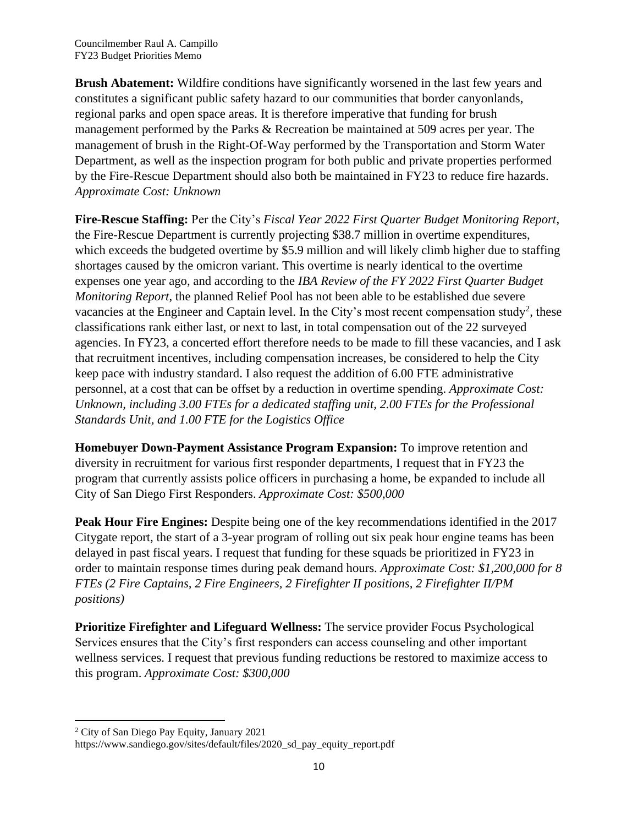**Brush Abatement:** Wildfire conditions have significantly worsened in the last few years and constitutes a significant public safety hazard to our communities that border canyonlands, regional parks and open space areas. It is therefore imperative that funding for brush management performed by the Parks & Recreation be maintained at 509 acres per year. The management of brush in the Right-Of-Way performed by the Transportation and Storm Water Department, as well as the inspection program for both public and private properties performed by the Fire-Rescue Department should also both be maintained in FY23 to reduce fire hazards. *Approximate Cost: Unknown*

**Fire-Rescue Staffing:** Per the City's *Fiscal Year 2022 First Quarter Budget Monitoring Report*, the Fire-Rescue Department is currently projecting \$38.7 million in overtime expenditures, which exceeds the budgeted overtime by \$5.9 million and will likely climb higher due to staffing shortages caused by the omicron variant. This overtime is nearly identical to the overtime expenses one year ago, and according to the *IBA Review of the FY 2022 First Quarter Budget Monitoring Report*, the planned Relief Pool has not been able to be established due severe vacancies at the Engineer and Captain level. In the City's most recent compensation study<sup>2</sup>, these classifications rank either last, or next to last, in total compensation out of the 22 surveyed agencies. In FY23, a concerted effort therefore needs to be made to fill these vacancies, and I ask that recruitment incentives, including compensation increases, be considered to help the City keep pace with industry standard. I also request the addition of 6.00 FTE administrative personnel, at a cost that can be offset by a reduction in overtime spending. *Approximate Cost: Unknown, including 3.00 FTEs for a dedicated staffing unit, 2.00 FTEs for the Professional Standards Unit, and 1.00 FTE for the Logistics Office*

**Homebuyer Down-Payment Assistance Program Expansion:** To improve retention and diversity in recruitment for various first responder departments, I request that in FY23 the program that currently assists police officers in purchasing a home, be expanded to include all City of San Diego First Responders. *Approximate Cost: \$500,000*

**Peak Hour Fire Engines:** Despite being one of the key recommendations identified in the 2017 Citygate report, the start of a 3-year program of rolling out six peak hour engine teams has been delayed in past fiscal years. I request that funding for these squads be prioritized in FY23 in order to maintain response times during peak demand hours. *Approximate Cost: \$1,200,000 for 8 FTEs (2 Fire Captains, 2 Fire Engineers, 2 Firefighter II positions, 2 Firefighter II/PM positions)*

**Prioritize Firefighter and Lifeguard Wellness:** The service provider Focus Psychological Services ensures that the City's first responders can access counseling and other important wellness services. I request that previous funding reductions be restored to maximize access to this program. *Approximate Cost: \$300,000*

<sup>2</sup> City of San Diego Pay Equity, January 2021

https://www.sandiego.gov/sites/default/files/2020\_sd\_pay\_equity\_report.pdf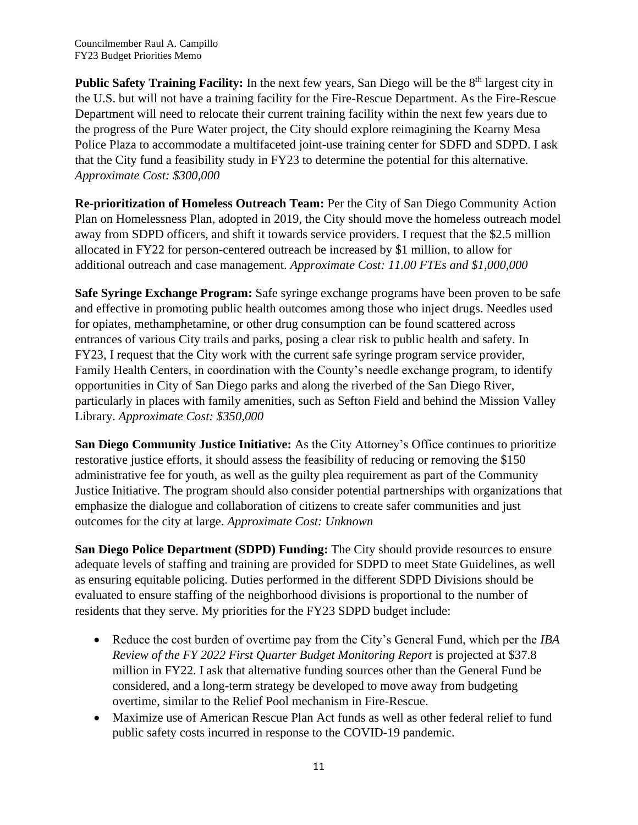**Public Safety Training Facility:** In the next few years, San Diego will be the 8<sup>th</sup> largest city in the U.S. but will not have a training facility for the Fire-Rescue Department. As the Fire-Rescue Department will need to relocate their current training facility within the next few years due to the progress of the Pure Water project, the City should explore reimagining the Kearny Mesa Police Plaza to accommodate a multifaceted joint-use training center for SDFD and SDPD. I ask that the City fund a feasibility study in FY23 to determine the potential for this alternative. *Approximate Cost: \$300,000*

**Re-prioritization of Homeless Outreach Team:** Per the City of San Diego Community Action Plan on Homelessness Plan, adopted in 2019, the City should move the homeless outreach model away from SDPD officers, and shift it towards service providers. I request that the \$2.5 million allocated in FY22 for person-centered outreach be increased by \$1 million, to allow for additional outreach and case management. *Approximate Cost: 11.00 FTEs and \$1,000,000*

**Safe Syringe Exchange Program:** Safe syringe exchange programs have been proven to be safe and effective in promoting public health outcomes among those who inject drugs. Needles used for opiates, methamphetamine, or other drug consumption can be found scattered across entrances of various City trails and parks, posing a clear risk to public health and safety. In FY23, I request that the City work with the current safe syringe program service provider, Family Health Centers, in coordination with the County's needle exchange program, to identify opportunities in City of San Diego parks and along the riverbed of the San Diego River, particularly in places with family amenities, such as Sefton Field and behind the Mission Valley Library. *Approximate Cost: \$350,000*

**San Diego Community Justice Initiative:** As the City Attorney's Office continues to prioritize restorative justice efforts, it should assess the feasibility of reducing or removing the \$150 administrative fee for youth, as well as the guilty plea requirement as part of the Community Justice Initiative. The program should also consider potential partnerships with organizations that emphasize the dialogue and collaboration of citizens to create safer communities and just outcomes for the city at large. *Approximate Cost: Unknown*

**San Diego Police Department (SDPD) Funding:** The City should provide resources to ensure adequate levels of staffing and training are provided for SDPD to meet State Guidelines, as well as ensuring equitable policing. Duties performed in the different SDPD Divisions should be evaluated to ensure staffing of the neighborhood divisions is proportional to the number of residents that they serve. My priorities for the FY23 SDPD budget include:

- Reduce the cost burden of overtime pay from the City's General Fund, which per the *IBA Review of the FY 2022 First Quarter Budget Monitoring Report* is projected at \$37.8 million in FY22. I ask that alternative funding sources other than the General Fund be considered, and a long-term strategy be developed to move away from budgeting overtime, similar to the Relief Pool mechanism in Fire-Rescue.
- Maximize use of American Rescue Plan Act funds as well as other federal relief to fund public safety costs incurred in response to the COVID-19 pandemic.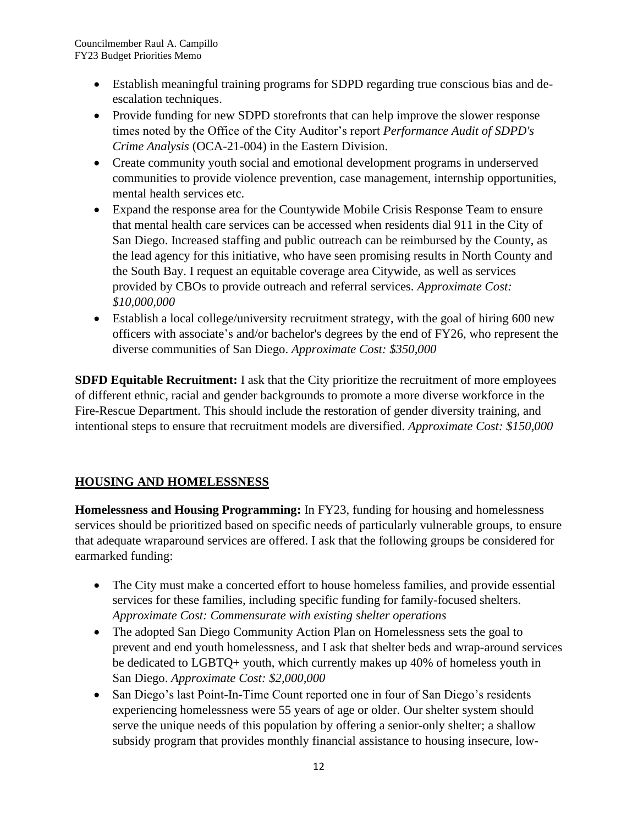- Establish meaningful training programs for SDPD regarding true conscious bias and deescalation techniques.
- Provide funding for new SDPD storefronts that can help improve the slower response times noted by the Office of the City Auditor's report *Performance Audit of SDPD's Crime Analysis* (OCA-21-004) in the Eastern Division.
- Create community youth social and emotional development programs in underserved communities to provide violence prevention, case management, internship opportunities, mental health services etc.
- Expand the response area for the Countywide Mobile Crisis Response Team to ensure that mental health care services can be accessed when residents dial 911 in the City of San Diego. Increased staffing and public outreach can be reimbursed by the County, as the lead agency for this initiative, who have seen promising results in North County and the South Bay. I request an equitable coverage area Citywide, as well as services provided by CBOs to provide outreach and referral services. *Approximate Cost: \$10,000,000*
- Establish a local college/university recruitment strategy, with the goal of hiring 600 new officers with associate's and/or bachelor's degrees by the end of FY26, who represent the diverse communities of San Diego. *Approximate Cost: \$350,000*

**SDFD Equitable Recruitment:** I ask that the City prioritize the recruitment of more employees of different ethnic, racial and gender backgrounds to promote a more diverse workforce in the Fire-Rescue Department. This should include the restoration of gender diversity training, and intentional steps to ensure that recruitment models are diversified. *Approximate Cost: \$150,000*

## **HOUSING AND HOMELESSNESS**

**Homelessness and Housing Programming:** In FY23, funding for housing and homelessness services should be prioritized based on specific needs of particularly vulnerable groups, to ensure that adequate wraparound services are offered. I ask that the following groups be considered for earmarked funding:

- The City must make a concerted effort to house homeless families, and provide essential services for these families, including specific funding for family-focused shelters. *Approximate Cost: Commensurate with existing shelter operations*
- The adopted San Diego Community Action Plan on Homelessness sets the goal to prevent and end youth homelessness, and I ask that shelter beds and wrap-around services be dedicated to LGBTQ+ youth, which currently makes up 40% of homeless youth in San Diego. *Approximate Cost: \$2,000,000*
- San Diego's last Point-In-Time Count reported one in four of San Diego's residents experiencing homelessness were 55 years of age or older. Our shelter system should serve the unique needs of this population by offering a senior-only shelter; a shallow subsidy program that provides monthly financial assistance to housing insecure, low-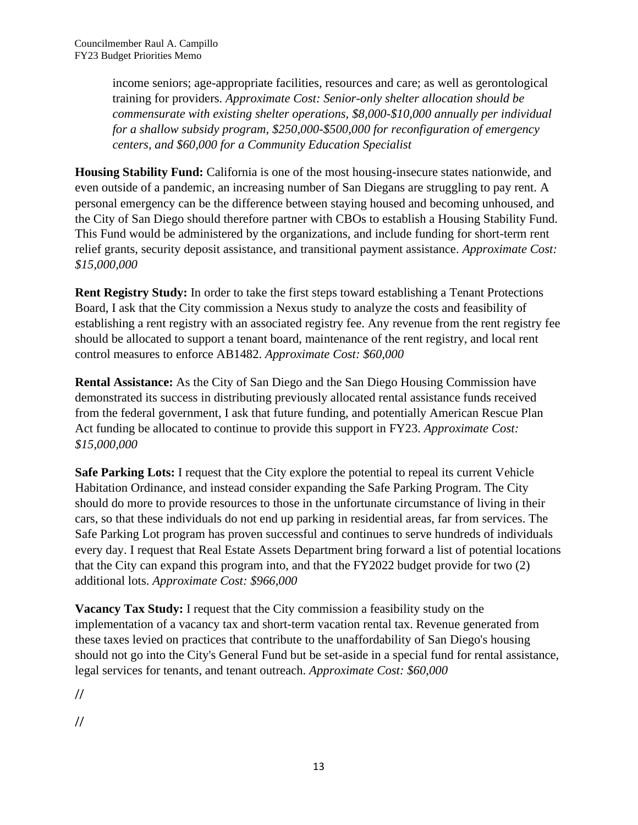income seniors; age-appropriate facilities, resources and care; as well as gerontological training for providers. *Approximate Cost: Senior-only shelter allocation should be commensurate with existing shelter operations, \$8,000-\$10,000 annually per individual for a shallow subsidy program, \$250,000-\$500,000 for reconfiguration of emergency centers, and \$60,000 for a Community Education Specialist*

**Housing Stability Fund:** California is one of the most housing-insecure states nationwide, and even outside of a pandemic, an increasing number of San Diegans are struggling to pay rent. A personal emergency can be the difference between staying housed and becoming unhoused, and the City of San Diego should therefore partner with CBOs to establish a Housing Stability Fund. This Fund would be administered by the organizations, and include funding for short-term rent relief grants, security deposit assistance, and transitional payment assistance. *Approximate Cost: \$15,000,000*

**Rent Registry Study:** In order to take the first steps toward establishing a Tenant Protections Board, I ask that the City commission a Nexus study to analyze the costs and feasibility of establishing a rent registry with an associated registry fee. Any revenue from the rent registry fee should be allocated to support a tenant board, maintenance of the rent registry, and local rent control measures to enforce AB1482. *Approximate Cost: \$60,000*

**Rental Assistance:** As the City of San Diego and the San Diego Housing Commission have demonstrated its success in distributing previously allocated rental assistance funds received from the federal government, I ask that future funding, and potentially American Rescue Plan Act funding be allocated to continue to provide this support in FY23. *Approximate Cost: \$15,000,000*

**Safe Parking Lots:** I request that the City explore the potential to repeal its current Vehicle Habitation Ordinance, and instead consider expanding the Safe Parking Program. The City should do more to provide resources to those in the unfortunate circumstance of living in their cars, so that these individuals do not end up parking in residential areas, far from services. The Safe Parking Lot program has proven successful and continues to serve hundreds of individuals every day. I request that Real Estate Assets Department bring forward a list of potential locations that the City can expand this program into, and that the FY2022 budget provide for two (2) additional lots. *Approximate Cost: \$966,000*

**Vacancy Tax Study:** I request that the City commission a feasibility study on the implementation of a vacancy tax and short-term vacation rental tax. Revenue generated from these taxes levied on practices that contribute to the unaffordability of San Diego's housing should not go into the City's General Fund but be set-aside in a special fund for rental assistance, legal services for tenants, and tenant outreach. *Approximate Cost: \$60,000*

//

//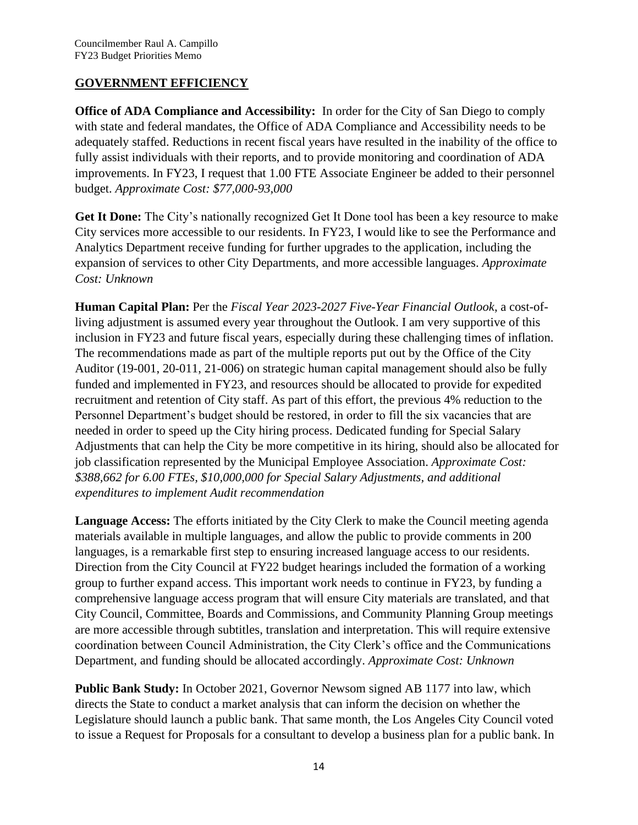### **GOVERNMENT EFFICIENCY**

**Office of ADA Compliance and Accessibility:** In order for the City of San Diego to comply with state and federal mandates, the Office of ADA Compliance and Accessibility needs to be adequately staffed. Reductions in recent fiscal years have resulted in the inability of the office to fully assist individuals with their reports, and to provide monitoring and coordination of ADA improvements. In FY23, I request that 1.00 FTE Associate Engineer be added to their personnel budget. *Approximate Cost: \$77,000-93,000*

**Get It Done:** The City's nationally recognized Get It Done tool has been a key resource to make City services more accessible to our residents. In FY23, I would like to see the Performance and Analytics Department receive funding for further upgrades to the application, including the expansion of services to other City Departments, and more accessible languages. *Approximate Cost: Unknown*

**Human Capital Plan:** Per the *Fiscal Year 2023-2027 Five-Year Financial Outlook*, a cost-ofliving adjustment is assumed every year throughout the Outlook. I am very supportive of this inclusion in FY23 and future fiscal years, especially during these challenging times of inflation. The recommendations made as part of the multiple reports put out by the Office of the City Auditor (19-001, 20-011, 21-006) on strategic human capital management should also be fully funded and implemented in FY23, and resources should be allocated to provide for expedited recruitment and retention of City staff. As part of this effort, the previous 4% reduction to the Personnel Department's budget should be restored, in order to fill the six vacancies that are needed in order to speed up the City hiring process. Dedicated funding for Special Salary Adjustments that can help the City be more competitive in its hiring, should also be allocated for job classification represented by the Municipal Employee Association. *Approximate Cost: \$388,662 for 6.00 FTEs, \$10,000,000 for Special Salary Adjustments, and additional expenditures to implement Audit recommendation*

**Language Access:** The efforts initiated by the City Clerk to make the Council meeting agenda materials available in multiple languages, and allow the public to provide comments in 200 languages, is a remarkable first step to ensuring increased language access to our residents. Direction from the City Council at FY22 budget hearings included the formation of a working group to further expand access. This important work needs to continue in FY23, by funding a comprehensive language access program that will ensure City materials are translated, and that City Council, Committee, Boards and Commissions, and Community Planning Group meetings are more accessible through subtitles, translation and interpretation. This will require extensive coordination between Council Administration, the City Clerk's office and the Communications Department, and funding should be allocated accordingly. *Approximate Cost: Unknown*

**Public Bank Study:** In October 2021, Governor Newsom signed AB 1177 into law, which directs the State to conduct a market analysis that can inform the decision on whether the Legislature should launch a public bank. That same month, the Los Angeles City Council voted to issue a Request for Proposals for a consultant to develop a business plan for a public bank. In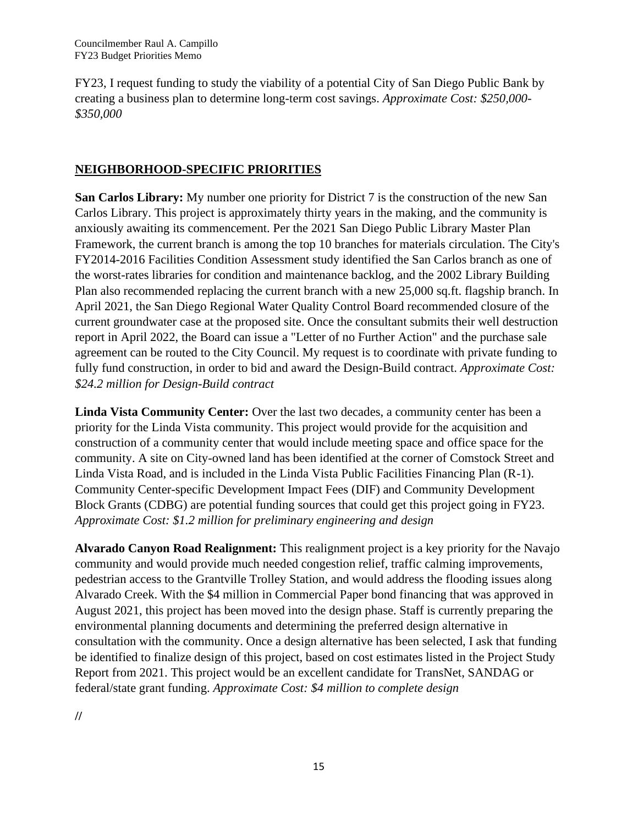FY23, I request funding to study the viability of a potential City of San Diego Public Bank by creating a business plan to determine long-term cost savings. *Approximate Cost: \$250,000- \$350,000*

## **NEIGHBORHOOD-SPECIFIC PRIORITIES**

**San Carlos Library:** My number one priority for District 7 is the construction of the new San Carlos Library. This project is approximately thirty years in the making, and the community is anxiously awaiting its commencement. Per the 2021 San Diego Public Library Master Plan Framework, the current branch is among the top 10 branches for materials circulation. The City's FY2014-2016 Facilities Condition Assessment study identified the San Carlos branch as one of the worst-rates libraries for condition and maintenance backlog, and the 2002 Library Building Plan also recommended replacing the current branch with a new 25,000 sq.ft. flagship branch. In April 2021, the San Diego Regional Water Quality Control Board recommended closure of the current groundwater case at the proposed site. Once the consultant submits their well destruction report in April 2022, the Board can issue a "Letter of no Further Action" and the purchase sale agreement can be routed to the City Council. My request is to coordinate with private funding to fully fund construction, in order to bid and award the Design-Build contract. *Approximate Cost: \$24.2 million for Design-Build contract*

**Linda Vista Community Center:** Over the last two decades, a community center has been a priority for the Linda Vista community. This project would provide for the acquisition and construction of a community center that would include meeting space and office space for the community. A site on City-owned land has been identified at the corner of Comstock Street and Linda Vista Road, and is included in the Linda Vista Public Facilities Financing Plan (R-1). Community Center-specific Development Impact Fees (DIF) and Community Development Block Grants (CDBG) are potential funding sources that could get this project going in FY23. *Approximate Cost: \$1.2 million for preliminary engineering and design*

**Alvarado Canyon Road Realignment:** This realignment project is a key priority for the Navajo community and would provide much needed congestion relief, traffic calming improvements, pedestrian access to the Grantville Trolley Station, and would address the flooding issues along Alvarado Creek. With the \$4 million in Commercial Paper bond financing that was approved in August 2021, this project has been moved into the design phase. Staff is currently preparing the environmental planning documents and determining the preferred design alternative in consultation with the community. Once a design alternative has been selected, I ask that funding be identified to finalize design of this project, based on cost estimates listed in the Project Study Report from 2021. This project would be an excellent candidate for TransNet, SANDAG or federal/state grant funding. *Approximate Cost: \$4 million to complete design*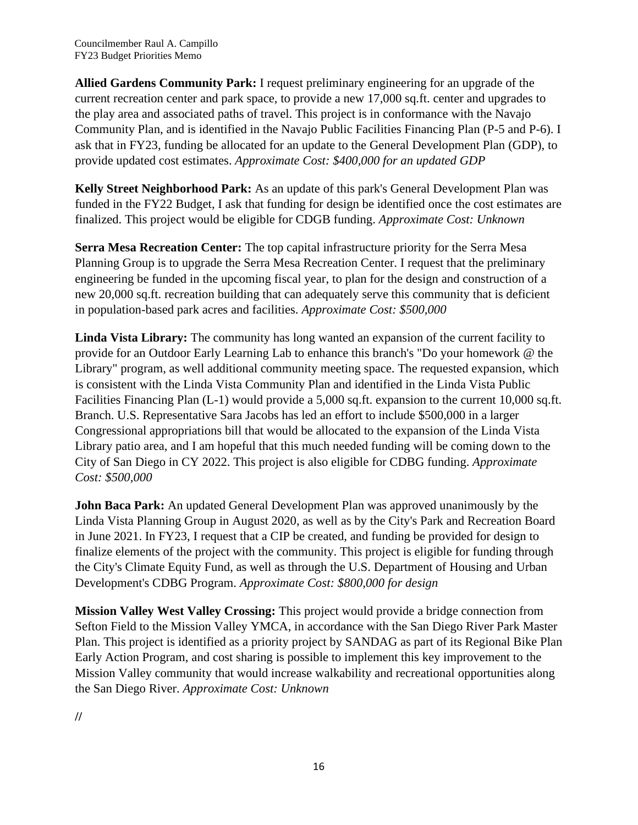**Allied Gardens Community Park:** I request preliminary engineering for an upgrade of the current recreation center and park space, to provide a new 17,000 sq.ft. center and upgrades to the play area and associated paths of travel. This project is in conformance with the Navajo Community Plan, and is identified in the Navajo Public Facilities Financing Plan (P-5 and P-6). I ask that in FY23, funding be allocated for an update to the General Development Plan (GDP), to provide updated cost estimates. *Approximate Cost: \$400,000 for an updated GDP*

**Kelly Street Neighborhood Park:** As an update of this park's General Development Plan was funded in the FY22 Budget, I ask that funding for design be identified once the cost estimates are finalized. This project would be eligible for CDGB funding. *Approximate Cost: Unknown*

**Serra Mesa Recreation Center:** The top capital infrastructure priority for the Serra Mesa Planning Group is to upgrade the Serra Mesa Recreation Center. I request that the preliminary engineering be funded in the upcoming fiscal year, to plan for the design and construction of a new 20,000 sq.ft. recreation building that can adequately serve this community that is deficient in population-based park acres and facilities. *Approximate Cost: \$500,000*

**Linda Vista Library:** The community has long wanted an expansion of the current facility to provide for an Outdoor Early Learning Lab to enhance this branch's "Do your homework @ the Library" program, as well additional community meeting space. The requested expansion, which is consistent with the Linda Vista Community Plan and identified in the Linda Vista Public Facilities Financing Plan (L-1) would provide a 5,000 sq.ft. expansion to the current 10,000 sq.ft. Branch. U.S. Representative Sara Jacobs has led an effort to include \$500,000 in a larger Congressional appropriations bill that would be allocated to the expansion of the Linda Vista Library patio area, and I am hopeful that this much needed funding will be coming down to the City of San Diego in CY 2022. This project is also eligible for CDBG funding. *Approximate Cost: \$500,000*

**John Baca Park:** An updated General Development Plan was approved unanimously by the Linda Vista Planning Group in August 2020, as well as by the City's Park and Recreation Board in June 2021. In FY23, I request that a CIP be created, and funding be provided for design to finalize elements of the project with the community. This project is eligible for funding through the City's Climate Equity Fund, as well as through the U.S. Department of Housing and Urban Development's CDBG Program. *Approximate Cost: \$800,000 for design*

**Mission Valley West Valley Crossing:** This project would provide a bridge connection from Sefton Field to the Mission Valley YMCA, in accordance with the San Diego River Park Master Plan. This project is identified as a priority project by SANDAG as part of its Regional Bike Plan Early Action Program, and cost sharing is possible to implement this key improvement to the Mission Valley community that would increase walkability and recreational opportunities along the San Diego River. *Approximate Cost: Unknown*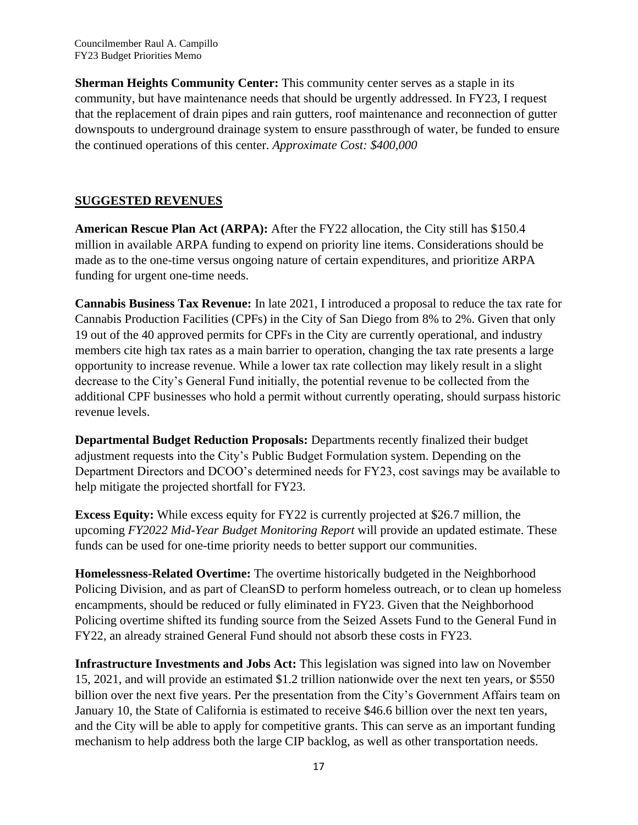**Sherman Heights Community Center:** This community center serves as a staple in its community, but have maintenance needs that should be urgently addressed. In FY23, I request that the replacement of drain pipes and rain gutters, roof maintenance and reconnection of gutter downspouts to underground drainage system to ensure passthrough of water, be funded to ensure the continued operations of this center. *Approximate Cost: \$400,000*

## **SUGGESTED REVENUES**

**American Rescue Plan Act (ARPA):** After the FY22 allocation, the City still has \$150.4 million in available ARPA funding to expend on priority line items. Considerations should be made as to the one-time versus ongoing nature of certain expenditures, and prioritize ARPA funding for urgent one-time needs.

**Cannabis Business Tax Revenue:** In late 2021, I introduced a proposal to reduce the tax rate for Cannabis Production Facilities (CPFs) in the City of San Diego from 8% to 2%. Given that only 19 out of the 40 approved permits for CPFs in the City are currently operational, and industry members cite high tax rates as a main barrier to operation, changing the tax rate presents a large opportunity to increase revenue. While a lower tax rate collection may likely result in a slight decrease to the City's General Fund initially, the potential revenue to be collected from the additional CPF businesses who hold a permit without currently operating, should surpass historic revenue levels.

**Departmental Budget Reduction Proposals:** Departments recently finalized their budget adjustment requests into the City's Public Budget Formulation system. Depending on the Department Directors and DCOO's determined needs for FY23, cost savings may be available to help mitigate the projected shortfall for FY23.

**Excess Equity:** While excess equity for FY22 is currently projected at \$26.7 million, the upcoming *FY2022 Mid-Year Budget Monitoring Report* will provide an updated estimate. These funds can be used for one-time priority needs to better support our communities.

**Homelessness-Related Overtime:** The overtime historically budgeted in the Neighborhood Policing Division, and as part of CleanSD to perform homeless outreach, or to clean up homeless encampments, should be reduced or fully eliminated in FY23. Given that the Neighborhood Policing overtime shifted its funding source from the Seized Assets Fund to the General Fund in FY22, an already strained General Fund should not absorb these costs in FY23.

**Infrastructure Investments and Jobs Act:** This legislation was signed into law on November 15, 2021, and will provide an estimated \$1.2 trillion nationwide over the next ten years, or \$550 billion over the next five years. Per the presentation from the City's Government Affairs team on January 10, the State of California is estimated to receive \$46.6 billion over the next ten years, and the City will be able to apply for competitive grants. This can serve as an important funding mechanism to help address both the large CIP backlog, as well as other transportation needs.